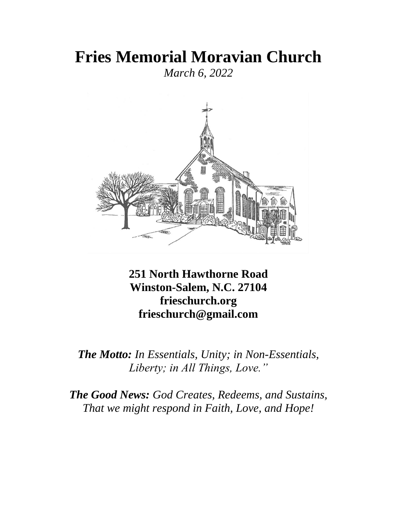# **Fries Memorial Moravian Church**

*March 6, 2022*



**251 North Hawthorne Road Winston-Salem, N.C. 27104 frieschurch.org frieschurch@gmail.com**

*The Motto: In Essentials, Unity; in Non-Essentials, Liberty; in All Things, Love."*

*The Good News: God Creates, Redeems, and Sustains, That we might respond in Faith, Love, and Hope!*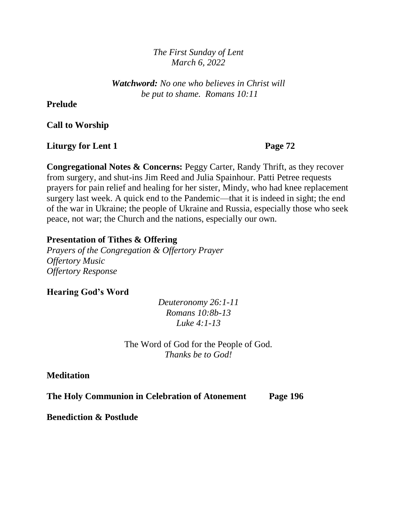*The First Sunday of Lent March 6, 2022*

*Watchword: No one who believes in Christ will be put to shame. Romans 10:11*

#### **Prelude**

**Call to Worship**

**Liturgy for Lent 1** Page 72

**Congregational Notes & Concerns:** Peggy Carter, Randy Thrift, as they recover from surgery, and shut-ins Jim Reed and Julia Spainhour. Patti Petree requests prayers for pain relief and healing for her sister, Mindy, who had knee replacement surgery last week. A quick end to the Pandemic—that it is indeed in sight; the end of the war in Ukraine; the people of Ukraine and Russia, especially those who seek peace, not war; the Church and the nations, especially our own.

#### **Presentation of Tithes & Offering**

*Prayers of the Congregation & Offertory Prayer Offertory Music Offertory Response*

#### **Hearing God's Word**

*Deuteronomy 26:1-11 Romans 10:8b-13 Luke 4:1-13*

The Word of God for the People of God. *Thanks be to God!*

**Meditation** 

**The Holy Communion in Celebration of Atonement Page 196**

**Benediction & Postlude**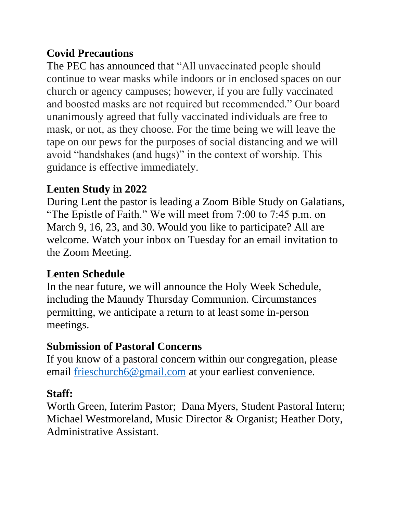### **Covid Precautions**

The PEC has announced that "All unvaccinated people should continue to wear masks while indoors or in enclosed spaces on our church or agency campuses; however, if you are fully vaccinated and boosted masks are not required but recommended." Our board unanimously agreed that fully vaccinated individuals are free to mask, or not, as they choose. For the time being we will leave the tape on our pews for the purposes of social distancing and we will avoid "handshakes (and hugs)" in the context of worship. This guidance is effective immediately.

### **Lenten Study in 2022**

During Lent the pastor is leading a Zoom Bible Study on Galatians, "The Epistle of Faith." We will meet from 7:00 to 7:45 p.m. on March 9, 16, 23, and 30. Would you like to participate? All are welcome. Watch your inbox on Tuesday for an email invitation to the Zoom Meeting.

### **Lenten Schedule**

In the near future, we will announce the Holy Week Schedule, including the Maundy Thursday Communion. Circumstances permitting, we anticipate a return to at least some in-person meetings.

### **Submission of Pastoral Concerns**

If you know of a pastoral concern within our congregation, please email [frieschurch6@gmail.com](mailto:frieschurch6@gmail.com) at your earliest convenience.

# **Staff:**

Worth Green, Interim Pastor; Dana Myers, Student Pastoral Intern; Michael Westmoreland, Music Director & Organist; Heather Doty, Administrative Assistant.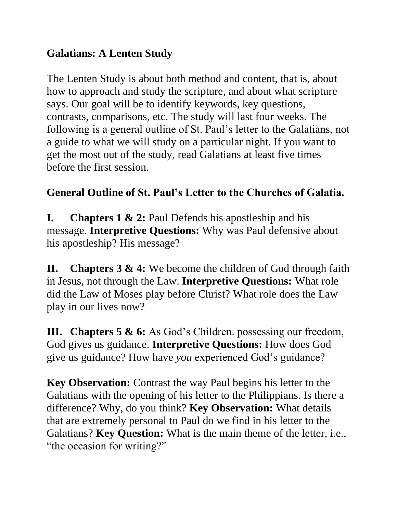## **Galatians: A Lenten Study**

The Lenten Study is about both method and content, that is, about how to approach and study the scripture, and about what scripture says. Our goal will be to identify keywords, key questions, contrasts, comparisons, etc. The study will last four weeks. The following is a general outline of St. Paul's letter to the Galatians, not a guide to what we will study on a particular night. If you want to get the most out of the study, read Galatians at least five times before the first session.

# **General Outline of St. Paul's Letter to the Churches of Galatia.**

**I. Chapters 1 & 2:** Paul Defends his apostleship and his message. **Interpretive Questions:** Why was Paul defensive about his apostleship? His message?

**II. Chapters 3 & 4:** We become the children of God through faith in Jesus, not through the Law. **Interpretive Questions:** What role did the Law of Moses play before Christ? What role does the Law play in our lives now?

**III. Chapters 5 & 6:** As God's Children. possessing our freedom, God gives us guidance. **Interpretive Questions:** How does God give us guidance? How have *you* experienced God's guidance?

**Key Observation:** Contrast the way Paul begins his letter to the Galatians with the opening of his letter to the Philippians. Is there a difference? Why, do you think? **Key Observation:** What details that are extremely personal to Paul do we find in his letter to the Galatians? **Key Question:** What is the main theme of the letter, i.e., "the occasion for writing?"